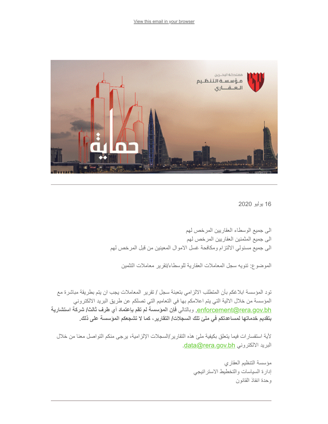

16 یولیو 2020

الى جمیع الوسطاء العقاریین المرخص لھم الى جمیع المثمنین العقاریین المرخص لھم الى جمیع مسئولي الالتزام ومكافحة غسل الاموال المعینین من قبل المرخص لھم

الموضوع: تنویھ سجل المعاملات العقاریة للوسطاء/تقریر معاملات التثمین

تود المؤسسة ابلاغكم بأن المتطلب الالزامي بتعبئة سجل / تقریر المعاملات یجب ان یتم بطریقة مباشرة مع المؤسسة من خلال الالیة التي یتم اعلامكم بھا في التعامیم التي تصلكم عن طریق البرید الالكتروني <u>enforcement@rera.gov.bh.</u> وبالتالي فإن المؤسسة لم تقم بإعتماد أي طرف ثالث/ شركة استشارية **بتقدیم خدماتھا لمساعدتكم في ملئ تلك السجلات/ التقاریر، كما لا تشجعكم المؤسسة على ذلك.** 

لأیة استفسارات فیما یتعلق بكیفیة ملئ ھذه التقاریر/السجلات الإلزامیة، یرجى منكم التواصل معنا من خلال .[data@rera.gov.bh](mailto:data@rera.gov.bh) الالكتروني البرید

> مؤسسة التنظیم العقاري إدارة السیاسات والتخطیط الاستراتیجي وحدة انفاذ القانون